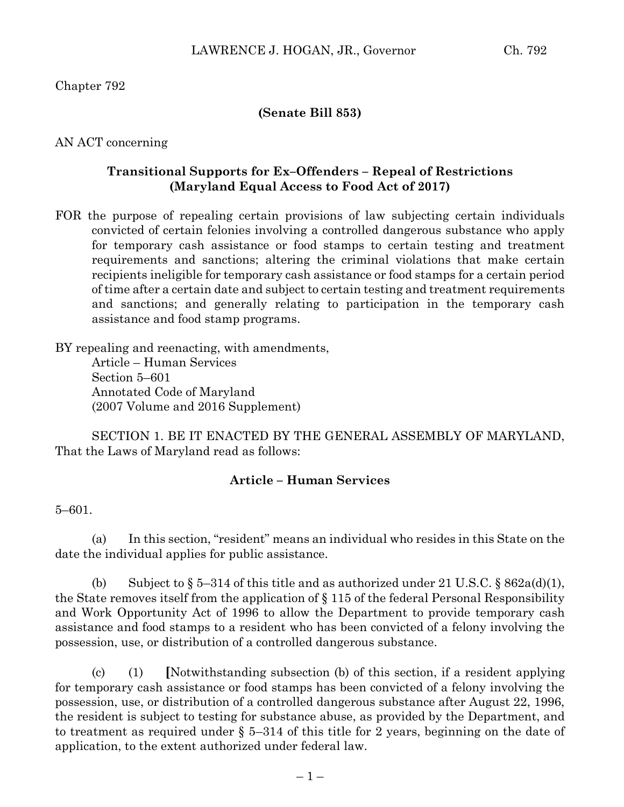Chapter 792

#### **(Senate Bill 853)**

AN ACT concerning

## **Transitional Supports for Ex–Offenders – Repeal of Restrictions (Maryland Equal Access to Food Act of 2017)**

FOR the purpose of repealing certain provisions of law subjecting certain individuals convicted of certain felonies involving a controlled dangerous substance who apply for temporary cash assistance or food stamps to certain testing and treatment requirements and sanctions; altering the criminal violations that make certain recipients ineligible for temporary cash assistance or food stamps for a certain period of time after a certain date and subject to certain testing and treatment requirements and sanctions; and generally relating to participation in the temporary cash assistance and food stamp programs.

BY repealing and reenacting, with amendments, Article – Human Services Section 5–601 Annotated Code of Maryland (2007 Volume and 2016 Supplement)

SECTION 1. BE IT ENACTED BY THE GENERAL ASSEMBLY OF MARYLAND, That the Laws of Maryland read as follows:

## **Article – Human Services**

5–601.

(a) In this section, "resident" means an individual who resides in this State on the date the individual applies for public assistance.

(b) Subject to  $\S 5-314$  of this title and as authorized under 21 U.S.C.  $\S 862a(d)(1)$ , the State removes itself from the application of § 115 of the federal Personal Responsibility and Work Opportunity Act of 1996 to allow the Department to provide temporary cash assistance and food stamps to a resident who has been convicted of a felony involving the possession, use, or distribution of a controlled dangerous substance.

(c) (1) **[**Notwithstanding subsection (b) of this section, if a resident applying for temporary cash assistance or food stamps has been convicted of a felony involving the possession, use, or distribution of a controlled dangerous substance after August 22, 1996, the resident is subject to testing for substance abuse, as provided by the Department, and to treatment as required under § 5–314 of this title for 2 years, beginning on the date of application, to the extent authorized under federal law.